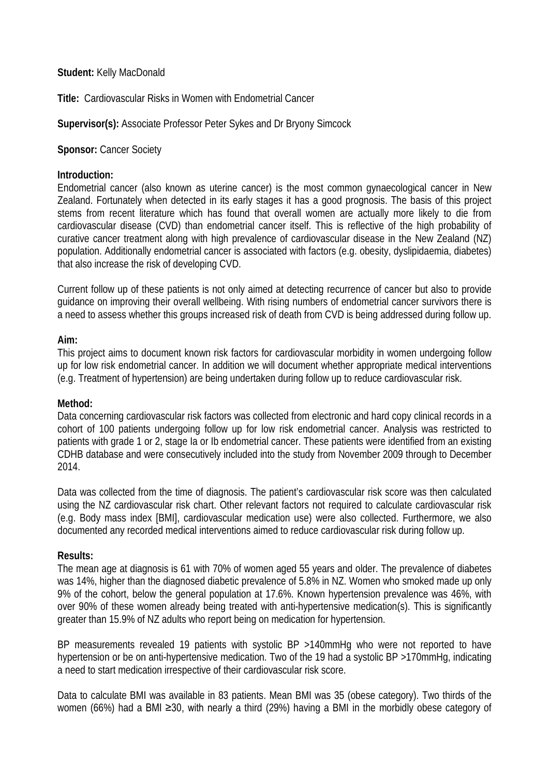## **Student:** Kelly MacDonald

**Title:** Cardiovascular Risks in Women with Endometrial Cancer

# **Supervisor(s):** Associate Professor Peter Sykes and Dr Bryony Simcock

**Sponsor: Cancer Society** 

#### **Introduction:**

Endometrial cancer (also known as uterine cancer) is the most common gynaecological cancer in New Zealand. Fortunately when detected in its early stages it has a good prognosis. The basis of this project stems from recent literature which has found that overall women are actually more likely to die from cardiovascular disease (CVD) than endometrial cancer itself. This is reflective of the high probability of curative cancer treatment along with high prevalence of cardiovascular disease in the New Zealand (NZ) population. Additionally endometrial cancer is associated with factors (e.g. obesity, dyslipidaemia, diabetes) that also increase the risk of developing CVD.

Current follow up of these patients is not only aimed at detecting recurrence of cancer but also to provide guidance on improving their overall wellbeing. With rising numbers of endometrial cancer survivors there is a need to assess whether this groups increased risk of death from CVD is being addressed during follow up.

## **Aim:**

This project aims to document known risk factors for cardiovascular morbidity in women undergoing follow up for low risk endometrial cancer. In addition we will document whether appropriate medical interventions (e.g. Treatment of hypertension) are being undertaken during follow up to reduce cardiovascular risk.

# **Method:**

Data concerning cardiovascular risk factors was collected from electronic and hard copy clinical records in a cohort of 100 patients undergoing follow up for low risk endometrial cancer. Analysis was restricted to patients with grade 1 or 2, stage Ia or Ib endometrial cancer. These patients were identified from an existing CDHB database and were consecutively included into the study from November 2009 through to December 2014.

Data was collected from the time of diagnosis. The patient's cardiovascular risk score was then calculated using the NZ cardiovascular risk chart. Other relevant factors not required to calculate cardiovascular risk (e.g. Body mass index [BMI], cardiovascular medication use) were also collected. Furthermore, we also documented any recorded medical interventions aimed to reduce cardiovascular risk during follow up.

#### **Results:**

The mean age at diagnosis is 61 with 70% of women aged 55 years and older. The prevalence of diabetes was 14%, higher than the diagnosed diabetic prevalence of 5.8% in NZ. Women who smoked made up only 9% of the cohort, below the general population at 17.6%. Known hypertension prevalence was 46%, with over 90% of these women already being treated with anti-hypertensive medication(s). This is significantly greater than 15.9% of NZ adults who report being on medication for hypertension.

BP measurements revealed 19 patients with systolic BP >140mmHg who were not reported to have hypertension or be on anti-hypertensive medication. Two of the 19 had a systolic BP >170mmHg, indicating a need to start medication irrespective of their cardiovascular risk score.

Data to calculate BMI was available in 83 patients. Mean BMI was 35 (obese category). Two thirds of the women (66%) had a BMI ≥30, with nearly a third (29%) having a BMI in the morbidly obese category of